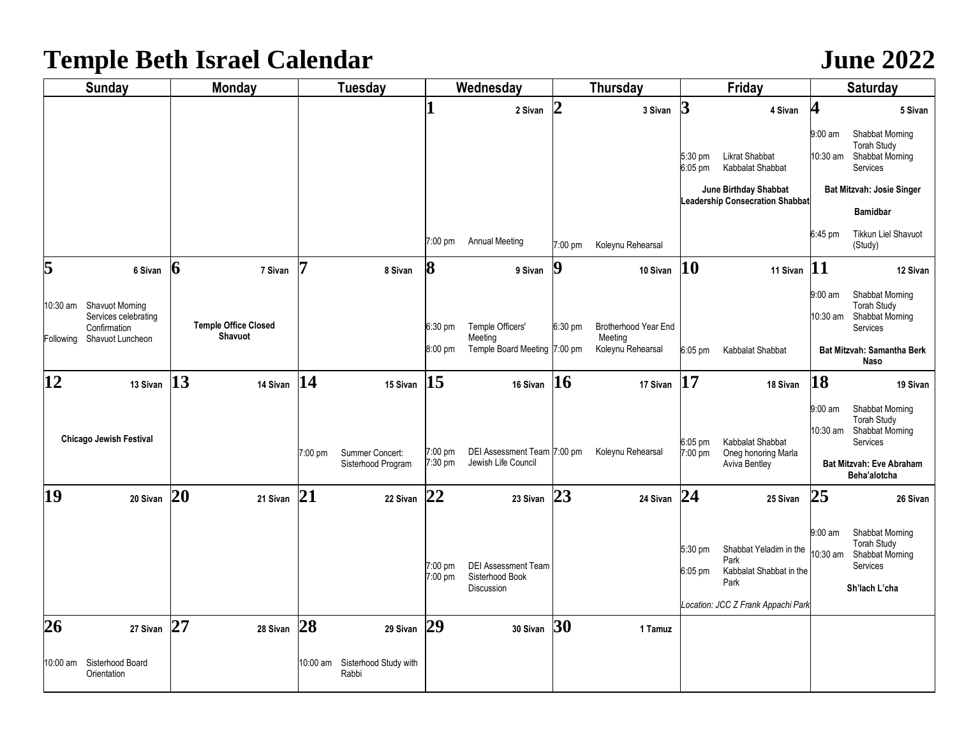## **Temple Beth Israel Calendar** *June 2022*

| <b>Sunday</b> |                                                                 | <b>Monday</b>    |                                        | <b>Tuesday</b> |                                       | Wednesday          |                                                                    | Thursday         |                                 | Friday               |                                                                                                         | Saturday              |                                                                                                                         |
|---------------|-----------------------------------------------------------------|------------------|----------------------------------------|----------------|---------------------------------------|--------------------|--------------------------------------------------------------------|------------------|---------------------------------|----------------------|---------------------------------------------------------------------------------------------------------|-----------------------|-------------------------------------------------------------------------------------------------------------------------|
|               |                                                                 |                  |                                        |                |                                       |                    | 2 Sivan                                                            | $\overline{2}$   | 3 Sivan                         | $\boldsymbol{\beta}$ | 4 Sivan                                                                                                 | 4                     | 5 Sivan                                                                                                                 |
|               |                                                                 |                  |                                        |                |                                       |                    |                                                                    |                  |                                 | 5:30 pm<br>6:05 pm   | Likrat Shabbat<br>Kabbalat Shabbat<br>June Birthday Shabbat                                             | 9:00 am<br>10:30 am   | Shabbat Morning<br><b>Torah Study</b><br>Shabbat Morning<br>Services<br><b>Bat Mitzvah: Josie Singer</b>                |
|               |                                                                 |                  |                                        |                |                                       |                    |                                                                    |                  |                                 |                      | <b>Leadership Consecration Shabbat</b>                                                                  |                       | <b>Bamidbar</b>                                                                                                         |
|               |                                                                 |                  |                                        |                |                                       | 7:00 pm            | <b>Annual Meeting</b>                                              | 7:00 pm          | Koleynu Rehearsal               |                      |                                                                                                         | $6:45$ pm             | <b>Tikkun Liel Shavuot</b><br>(Study)                                                                                   |
| 5             | 6 Sivan                                                         | $\boldsymbol{6}$ | 7 Sivan                                | 7              | 8 Sivan                               | 8                  | 9 Sivan                                                            | $\boldsymbol{9}$ | 10 Sivan                        | 10                   | 11 Sivan                                                                                                | 11                    | 12 Sivan                                                                                                                |
|               | 0:30 am Shavuot Morning<br>Services celebrating<br>Confirmation |                  | <b>Temple Office Closed</b><br>Shavuot |                |                                       | $6:30$ pm          | Temple Officers'<br>Meeting                                        | $6:30$ pm        | Brotherhood Year End<br>Meeting |                      |                                                                                                         | $9:00$ am<br>10:30 am | Shabbat Morning<br><b>Torah Study</b><br>Shabbat Morning<br>Services                                                    |
| Following     | Shavuot Luncheon                                                |                  |                                        |                |                                       | 8:00 pm            | Temple Board Meeting 7:00 pm                                       |                  | Koleynu Rehearsal               | $6:05$ pm            | Kabbalat Shabbat                                                                                        |                       | Bat Mitzvah: Samantha Berk<br>Naso                                                                                      |
| 12            | 13 Sivan                                                        | 13               | 14 Sivan                               | 14             | 15 Sivan                              | 15                 | 16 Sivan                                                           | <b>16</b>        | 17 Sivan                        | 17                   | 18 Sivan                                                                                                | 18                    | 19 Sivan                                                                                                                |
|               | <b>Chicago Jewish Festival</b>                                  |                  |                                        | $7:00$ pm      | Summer Concert:<br>Sisterhood Program | 7:00 pm<br>7:30 pm | DEI Assessment Team 7:00 pm<br>Jewish Life Council                 |                  | Koleynu Rehearsal               | $6:05$ pm<br>7:00 pm | Kabbalat Shabbat<br>Oneg honoring Marla<br><b>Aviva Bentley</b>                                         | 9:00 am<br>10:30 am   | Shabbat Morning<br><b>Torah Study</b><br>Shabbat Morning<br>Services<br><b>Bat Mitzvah: Eve Abraham</b><br>Beha'alotcha |
| 19            | 20 Sivan                                                        | 20               | 21 Sivan                               | 21             | 22 Sivan                              | 22                 | 23 Sivan                                                           | 23               | 24 Sivan                        | 24                   | 25 Sivan                                                                                                | 25                    | 26 Sivan                                                                                                                |
|               |                                                                 |                  |                                        |                |                                       | 7:00 pm<br>7:00 pm | <b>DEI Assessment Team</b><br>Sisterhood Book<br><b>Discussion</b> |                  |                                 | 5:30 pm<br>$6:05$ pm | Shabbat Yeladim in the<br>Park<br>Kabbalat Shabbat in the<br>Park<br>Location: JCC Z Frank Appachi Park | $9:00$ am<br>10:30 am | Shabbat Morning<br><b>Torah Study</b><br>Shabbat Morning<br>Services<br>Sh'lach L'cha                                   |
| 26            | 27 Sivan                                                        | 27               | 28 Sivan                               | 28             | 29 Sivan                              | 29                 | 30 Sivan                                                           | 30               | 1 Tamuz                         |                      |                                                                                                         |                       |                                                                                                                         |
|               |                                                                 |                  |                                        |                |                                       |                    |                                                                    |                  |                                 |                      |                                                                                                         |                       |                                                                                                                         |
|               | 10:00 am Sisterhood Board<br>Orientation                        |                  |                                        | 10:00 am       | Sisterhood Study with<br>Rabbi        |                    |                                                                    |                  |                                 |                      |                                                                                                         |                       |                                                                                                                         |